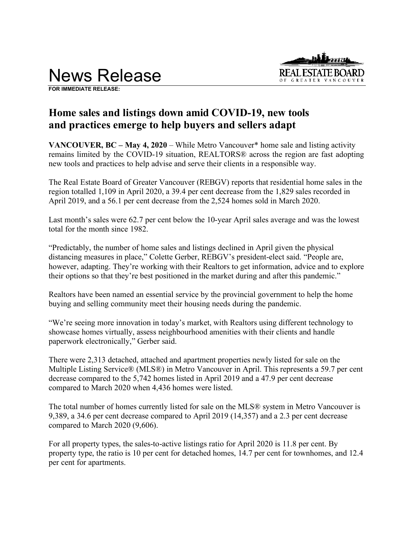



**FOR IMMEDIATE RELEASE:** 

# **Home sales and listings down amid COVID-19, new tools and practices emerge to help buyers and sellers adapt**

**VANCOUVER, BC – May 4, 2020** – While Metro Vancouver\* home sale and listing activity remains limited by the COVID-19 situation, REALTORS® across the region are fast adopting new tools and practices to help advise and serve their clients in a responsible way.

The Real Estate Board of Greater Vancouver (REBGV) reports that residential home sales in the region totalled 1,109 in April 2020, a 39.4 per cent decrease from the 1,829 sales recorded in April 2019, and a 56.1 per cent decrease from the 2,524 homes sold in March 2020.

Last month's sales were 62.7 per cent below the 10-year April sales average and was the lowest total for the month since 1982.

"Predictably, the number of home sales and listings declined in April given the physical distancing measures in place," Colette Gerber, REBGV's president-elect said. "People are, however, adapting. They're working with their Realtors to get information, advice and to explore their options so that they're best positioned in the market during and after this pandemic."

Realtors have been named an essential service by the provincial government to help the home buying and selling community meet their housing needs during the pandemic.

"We're seeing more innovation in today's market, with Realtors using different technology to showcase homes virtually, assess neighbourhood amenities with their clients and handle paperwork electronically," Gerber said.

There were 2,313 detached, attached and apartment properties newly listed for sale on the Multiple Listing Service® (MLS®) in Metro Vancouver in April. This represents a 59.7 per cent decrease compared to the 5,742 homes listed in April 2019 and a 47.9 per cent decrease compared to March 2020 when 4,436 homes were listed.

The total number of homes currently listed for sale on the MLS® system in Metro Vancouver is 9,389, a 34.6 per cent decrease compared to April 2019 (14,357) and a 2.3 per cent decrease compared to March 2020 (9,606).

For all property types, the sales-to-active listings ratio for April 2020 is 11.8 per cent. By property type, the ratio is 10 per cent for detached homes, 14.7 per cent for townhomes, and 12.4 per cent for apartments.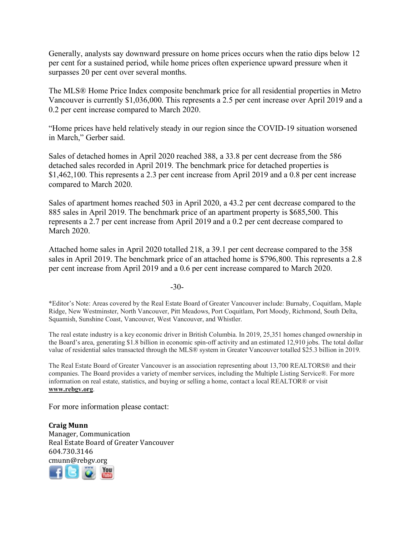Generally, analysts say downward pressure on home prices occurs when the ratio dips below 12 per cent for a sustained period, while home prices often experience upward pressure when it surpasses 20 per cent over several months.

The MLS® Home Price Index composite benchmark price for all residential properties in Metro Vancouver is currently \$1,036,000. This represents a 2.5 per cent increase over April 2019 and a 0.2 per cent increase compared to March 2020.

"Home prices have held relatively steady in our region since the COVID-19 situation worsened in March," Gerber said.

Sales of detached homes in April 2020 reached 388, a 33.8 per cent decrease from the 586 detached sales recorded in April 2019. The benchmark price for detached properties is \$1,462,100. This represents a 2.3 per cent increase from April 2019 and a 0.8 per cent increase compared to March 2020.

Sales of apartment homes reached 503 in April 2020, a 43.2 per cent decrease compared to the 885 sales in April 2019. The benchmark price of an apartment property is \$685,500. This represents a 2.7 per cent increase from April 2019 and a 0.2 per cent decrease compared to March 2020.

Attached home sales in April 2020 totalled 218, a 39.1 per cent decrease compared to the 358 sales in April 2019. The benchmark price of an attached home is \$796,800. This represents a 2.8 per cent increase from April 2019 and a 0.6 per cent increase compared to March 2020.

-30-

\*Editor's Note: Areas covered by the Real Estate Board of Greater Vancouver include: Burnaby, Coquitlam, Maple Ridge, New Westminster, North Vancouver, Pitt Meadows, Port Coquitlam, Port Moody, Richmond, South Delta, Squamish, Sunshine Coast, Vancouver, West Vancouver, and Whistler.

The real estate industry is a key economic driver in British Columbia. In 2019, 25,351 homes changed ownership in the Board's area, generating \$1.8 billion in economic spin-off activity and an estimated 12,910 jobs. The total dollar value of residential sales transacted through the MLS® system in Greater Vancouver totalled \$25.3 billion in 2019.

The Real Estate Board of Greater Vancouver is an association representing about 13,700 REALTORS® and their companies. The Board provides a variety of member services, including the Multiple Listing Service®. For more information on real estate, statistics, and buying or selling a home, contact a local REALTOR® or visit **www.rebgv.org**.

For more information please contact:

**Craig Munn** Manager, Communication Real Estate Board of Greater Vancouver 604.730.3146 [cmu](http://www.facebook.com/rebgv)[nn@r](http://www.twitter.com/rebgv)[ebgv.](http://www.rebgv.org/)[org](http://www.youtube.com/user/rebgv)

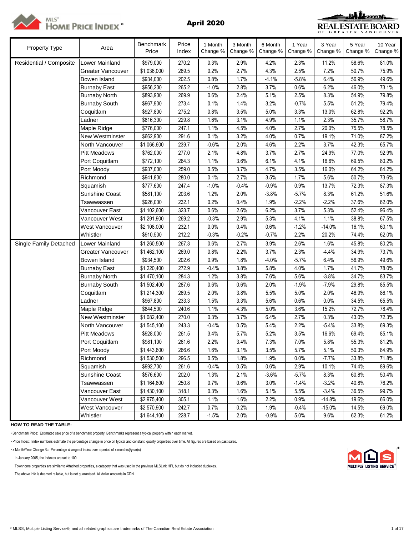



| Property Type           | Area                     | <b>Benchmark</b><br>Price | Price<br>Index | 1 Month<br>Change % | 3 Month<br>Change % | 6 Month<br>Change % | 1 Year<br>Change % | 3 Year<br>Change % | 5 Year<br>Change % | 10 Year<br>Change % |
|-------------------------|--------------------------|---------------------------|----------------|---------------------|---------------------|---------------------|--------------------|--------------------|--------------------|---------------------|
| Residential / Composite | Lower Mainland           | \$979,000                 | 270.2          | 0.3%                | 2.9%                | 4.2%                | 2.3%               | 11.2%              | 58.6%              | 81.0%               |
|                         | <b>Greater Vancouver</b> | \$1,036,000               | 269.5          | 0.2%                | 2.7%                | 4.3%                | 2.5%               | 7.2%               | 50.7%              | 75.9%               |
|                         | Bowen Island             | \$934,000                 | 202.5          | 0.8%                | 1.7%                | $-4.1%$             | $-5.8%$            | 6.4%               | 56.9%              | 49.6%               |
|                         | <b>Burnaby East</b>      | \$956,200                 | 265.2          | $-1.0%$             | 2.8%                | 3.7%                | 0.6%               | 6.2%               | 46.0%              | 73.1%               |
|                         | <b>Burnaby North</b>     | \$893,900                 | 269.9          | 0.6%                | 2.4%                | 5.1%                | 2.5%               | 8.3%               | 54.9%              | 79.8%               |
|                         | <b>Burnaby South</b>     | \$967,900                 | 273.4          | 0.1%                | 1.4%                | 3.2%                | $-0.7%$            | 5.5%               | 51.2%              | 79.4%               |
|                         | Coquitlam                | \$927,800                 | 275.2          | 0.8%                | 3.5%                | 5.0%                | 3.3%               | 13.0%              | 62.8%              | 92.2%               |
|                         | Ladner                   | \$816,300                 | 229.8          | 1.6%                | 3.1%                | 4.9%                | 1.1%               | 2.3%               | 35.7%              | 58.7%               |
|                         | Maple Ridge              | \$776,000                 | 247.1          | 1.1%                | 4.5%                | 4.0%                | 2.7%               | 20.0%              | 75.5%              | 78.5%               |
|                         | <b>New Westminster</b>   | \$662,900                 | 291.6          | 0.1%                | 3.2%                | 4.0%                | 0.7%               | 19.1%              | 71.0%              | 87.2%               |
|                         | North Vancouver          | \$1,066,600               | 239.7          | $-0.6%$             | 2.0%                | 4.6%                | 2.2%               | 3.7%               | 42.3%              | 65.7%               |
|                         | <b>Pitt Meadows</b>      | \$762,000                 | 277.0          | 2.1%                | 4.8%                | 3.7%                | 2.7%               | 24.9%              | 77.0%              | 92.9%               |
|                         | Port Coquitlam           | \$772,100                 | 264.3          | 1.1%                | 3.6%                | 6.1%                | 4.1%               | 16.6%              | 69.5%              | 80.2%               |
|                         | Port Moody               | \$937,000                 | 259.0          | 0.5%                | 3.7%                | 4.7%                | 3.5%               | 16.0%              | 64.2%              | 84.2%               |
|                         | Richmond                 | \$941,800                 | 280.0          | 0.1%                | 2.7%                | 3.5%                | 1.7%               | 5.6%               | 50.7%              | 73.6%               |
|                         | Squamish                 | \$777,600                 | 247.4          | $-1.0%$             | $-0.4%$             | $-0.9%$             | 0.9%               | 13.7%              | 72.3%              | 87.3%               |
|                         | Sunshine Coast           | \$581,100                 | 203.6          | 1.2%                | 2.0%                | $-3.8%$             | $-5.7%$            | 8.3%               | 61.2%              | 51.6%               |
|                         | Tsawwassen               | \$926,000                 | 232.1          | 0.2%                | 0.4%                | 1.9%                | $-2.2%$            | $-2.2%$            | 37.6%              | 62.0%               |
|                         | Vancouver East           | \$1,102,600               | 323.7          | 0.6%                | 2.6%                | 6.2%                | 3.7%               | 5.3%               | 52.4%              | 96.4%               |
|                         | Vancouver West           | \$1,291,900               | 269.2          | $-0.3%$             | 2.9%                | 5.3%                | 4.1%               | 1.1%               | 38.8%              | 67.5%               |
|                         | West Vancouver           | \$2,108,000               | 232.1          | 0.0%                | 0.4%                | 0.6%                | $-1.2%$            | $-14.0%$           | 16.1%              | 60.1%               |
|                         | Whistler                 | \$910,500                 | 212.2          | $-0.3%$             | $-0.2%$             | $-0.7%$             | 2.2%               | 20.2%              | 74.4%              | 62.0%               |
| Single Family Detached  | Lower Mainland           | \$1,260,500               | 267.3          | 0.6%                | 2.7%                | 3.9%                | 2.6%               | 1.6%               | 45.8%              | 80.2%               |
|                         | <b>Greater Vancouver</b> | \$1,462,100               | 269.0          | 0.8%                | 2.2%                | 3.7%                | 2.3%               | $-4.4%$            | 34.9%              | 73.7%               |
|                         | Bowen Island             | \$934,500                 | 202.6          | 0.9%                | 1.8%                | $-4.0%$             | $-5.7%$            | 6.4%               | 56.9%              | 49.6%               |
|                         | <b>Burnaby East</b>      | \$1,220,400               | 272.9          | $-0.4%$             | 3.8%                | 5.8%                | 4.0%               | 1.7%               | 41.7%              | 78.0%               |
|                         | <b>Burnaby North</b>     | \$1,470,100               | 284.3          | 1.2%                | 3.8%                | 7.6%                | 5.6%               | $-3.8%$            | 34.7%              | 83.7%               |
|                         | <b>Burnaby South</b>     | \$1,502,400               | 287.6          | 0.6%                | 0.6%                | 2.0%                | $-1.9%$            | $-7.9%$            | 29.8%              | 85.5%               |
|                         | Coquitlam                | \$1,214,300               | 269.5          | 2.0%                | 3.8%                | 5.5%                | 5.0%               | 2.0%               | 46.9%              | 86.1%               |
|                         | Ladner                   | \$967,800                 | 233.3          | 1.5%                | 3.3%                | 5.6%                | 0.6%               | 0.0%               | 34.5%              | 65.5%               |
|                         | Maple Ridge              | \$844,500                 | 240.6          | 1.1%                | 4.3%                | 5.0%                | 3.6%               | 15.2%              | 72.7%              | 78.4%               |
|                         | New Westminster          | \$1,082,400               | 270.0          | 0.3%                | 3.7%                | 6.4%                | 2.7%               | 0.3%               | 43.0%              | 72.3%               |
|                         | North Vancouver          | \$1,545,100               | 243.3          | $-0.4%$             | 0.5%                | 5.4%                | 2.2%               | $-5.4%$            | 33.8%              | 69.3%               |
|                         | <b>Pitt Meadows</b>      | \$928,000                 | 261.5          | 3.4%                | 5.7%                | 5.2%                | 3.5%               | 16.6%              | 69.4%              | 85.1%               |
|                         | Port Coquitlam           | \$981,100                 | 261.6          | 2.2%                | 3.4%                | 7.3%                | 7.0%               | 5.8%               | 55.3%              | 81.2%               |
|                         | Port Moody               | \$1,443,600               | 266.6          | 1.6%                | 3.1%                | 3.5%                | 5.7%               | 5.1%               | 50.3%              | 84.9%               |
|                         | Richmond                 | \$1,530,500               | 296.5          | 0.5%                | 1.8%                | 1.9%                | 0.0%               | $-7.7%$            | 33.8%              | 71.8%               |
|                         | Squamish                 | \$992,700                 | 261.6          | $-0.4%$             | 0.5%                | 0.6%                | 2.9%               | 10.1%              | 74.4%              | 89.6%               |
|                         | <b>Sunshine Coast</b>    | \$576,600                 | 202.0          | 1.3%                | 2.1%                | $-3.6%$             | $-5.7%$            | 8.3%               | 60.8%              | 50.4%               |
|                         | Tsawwassen               | \$1,164,800               | 250.8          | 0.7%                | 0.6%                | 3.0%                | $-1.4%$            | $-3.2%$            | 40.8%              | 76.2%               |
|                         | Vancouver East           | \$1,430,100               | 318.1          | 0.3%                | 1.6%                | 5.1%                | 5.5%               | $-3.4%$            | 36.5%              | 99.7%               |
|                         | Vancouver West           | \$2,975,400               | 305.1          | 1.1%                | 1.6%                | 2.2%                | 0.9%               | $-14.8%$           | 19.6%              | 66.0%               |
|                         | West Vancouver           | \$2,570,900               | 242.7          | 0.7%                | 0.2%                | 1.9%                | $-0.4%$            | $-15.0%$           | 14.5%              | 69.0%               |
|                         | Whistler                 | \$1,644,100               | 228.7          | $-1.5%$             | 2.0%                | $-0.9%$             | 5.0%               | 9.6%               | 62.3%              | 61.2%               |

**HOW TO READ THE TABLE:**

• Benchmark Price: Estimated sale price of a benchmark property. Benchmarks represent a typical property within each market.

• Price Index: Index numbers estimate the percentage change in price on typical and constant quality properties over time. All figures are based on past sales.

• x Month/Year Change %: Percentage change of index over a period of x month(s)/year(s) \*

In January 2005, the indexes are set to 100.

Townhome properties are similar to Attached properties, a category that was used in the previous MLSLink HPI, but do not included duplexes.

The above info is deemed reliable, but is not guaranteed. All dollar amounts in CDN.

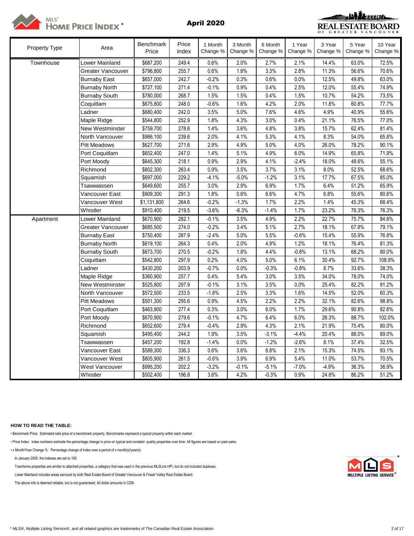

<u> uNikaan</u> **REAL ESTATE BOARD** GREATER VANCOUVER

| <b>Property Type</b> | Area                 | <b>Benchmark</b><br>Price | Price<br>Index | 1 Month<br>Change % | 3 Month<br>Change % | 6 Month<br>Change % | 1 Year<br>Change % | 3 Year<br>Change % | 5 Year<br>Change % | 10 Year<br>Change % |
|----------------------|----------------------|---------------------------|----------------|---------------------|---------------------|---------------------|--------------------|--------------------|--------------------|---------------------|
| Townhouse            | Lower Mainland       | \$687,200                 | 249.4          | 0.6%                | 2.0%                | 2.7%                | 2.1%               | 14.4%              | 63.0%              | 72.5%               |
|                      | Greater Vancouver    | \$796,800                 | 255.7          | 0.6%                | 1.8%                | 3.3%                | 2.8%               | 11.3%              | 56.6%              | 70.6%               |
|                      | <b>Burnaby East</b>  | \$657,000                 | 242.7          | $-0.2%$             | 0.3%                | 0.6%                | 0.0%               | 12.5%              | 49.8%              | 63.0%               |
|                      | <b>Burnaby North</b> | \$727,100                 | 271.4          | $-0.1%$             | 0.9%                | 0.4%                | 2.5%               | 12.0%              | 55.4%              | 74.9%               |
|                      | <b>Burnaby South</b> | \$780,000                 | 268.7          | 1.5%                | 1.5%                | 0.4%                | 1.5%               | 10.7%              | 54.2%              | 73.5%               |
|                      | Coquitlam            | \$675,800                 | 248.0          | $-0.6%$             | 1.6%                | 4.2%                | 2.0%               | 11.8%              | 60.8%              | 77.7%               |
|                      | Ladner               | \$680,400                 | 242.0          | 3.5%                | 5.0%                | 7.6%                | 4.6%               | 4.9%               | 40.9%              | 55.6%               |
|                      | Maple Ridge          | \$544,800                 | 252.9          | 1.8%                | 4.3%                | 3.0%                | 0.4%               | 21.1%              | 76.5%              | 77.0%               |
|                      | New Westminster      | \$759,700                 | 278.6          | 1.4%                | 3.6%                | 4.8%                | 3.8%               | 15.7%              | 62.4%              | 81.4%               |
|                      | North Vancouver      | \$986,100                 | 239.6          | 2.0%                | 4.1%                | 5.3%                | 4.1%               | 8.3%               | 54.0%              | 65.8%               |
|                      | Pitt Meadows         | \$627,700                 | 271.6          | 2.9%                | 4.9%                | 5.0%                | 4.0%               | 26.0%              | 78.2%              | 90.1%               |
|                      | Port Coquitlam       | \$652,400                 | 247.0          | 1.4%                | 5.1%                | 4.9%                | 6.0%               | 14.9%              | 65.8%              | 71.9%               |
|                      | Port Moody           | \$645,300                 | 218.1          | 0.9%                | 2.9%                | 4.1%                | $-2.4%$            | 18.0%              | 48.6%              | 55.1%               |
|                      | Richmond             | \$802,300                 | 263.4          | 0.9%                | 3.5%                | 3.7%                | 3.1%               | 8.0%               | 52.5%              | 68.6%               |
|                      | Squamish             | \$697,000                 | 229.2          | $-4.1%$             | $-5.0%$             | $-1.2%$             | 3.1%               | 17.7%              | 67.5%              | 85.0%               |
|                      | Tsawwassen           | \$649,600                 | 255.7          | 3.0%                | 2.9%                | 6.9%                | 1.7%               | 6.4%               | 51.2%              | 65.9%               |
|                      | Vancouver East       | \$909,300                 | 291.3          | 1.8%                | 0.6%                | 6.6%                | 4.7%               | 6.8%               | 55.6%              | 80.6%               |
|                      | Vancouver West       | \$1,131,800               | 264.6          | $-0.2%$             | $-1.3%$             | 1.7%                | 2.2%               | 1.4%               | 45.3%              | 68.4%               |
|                      | Whistler             | \$910,400                 | 219.5          | $-3.6%$             | $-6.3%$             | $-1.4%$             | 1.7%               | 23.2%              | 76.3%              | 76.3%               |
| Apartment            | Lower Mainland       | \$670,900                 | 282.1          | $-0.1%$             | 3.5%                | 4.9%                | 2.2%               | 22.7%              | 75.7%              | 84.6%               |
|                      | Greater Vancouver    | \$685,500                 | 274.0          | $-0.2%$             | 3.4%                | 5.1%                | 2.7%               | 18.1%              | 67.8%              | 79.1%               |
|                      | <b>Burnaby East</b>  | \$750,400                 | 287.9          | $-2.4%$             | 5.0%                | 5.5%                | $-0.6%$            | 15.4%              | 55.9%              | 76.8%               |
|                      | <b>Burnaby North</b> | \$619,100                 | 264.3          | 0.4%                | 2.0%                | 4.9%                | 1.2%               | 18.1%              | 76.4%              | 81.3%               |
|                      | <b>Burnaby South</b> | \$673,700                 | 270.5          | $-0.2%$             | 1.8%                | 4.4%                | $-0.8%$            | 13.1%              | 68.2%              | 80.0%               |
|                      | Coquitlam            | \$542,800                 | 297.9          | 0.2%                | 4.0%                | 5.0%                | 6.1%               | 30.4%              | 92.7%              | 108.9%              |
|                      | Ladner               | \$430,200                 | 203.9          | $-0.7%$             | 0.0%                | $-0.3%$             | $-0.8%$            | 8.7%               | 33.6%              | 38.3%               |
|                      | Maple Ridge          | \$360,900                 | 257.7          | 0.4%                | 5.4%                | 3.0%                | 3.5%               | 34.0%              | 78.0%              | 74.0%               |
|                      | New Westminster      | \$525,800                 | 297.9          | $-0.1%$             | 3.1%                | 3.5%                | 0.0%               | 25.4%              | 82.2%              | 91.2%               |
|                      | North Vancouver      | \$572,500                 | 233.5          | $-1.8%$             | 2.5%                | 3.3%                | 1.6%               | 14.5%              | 52.0%              | 60.3%               |
|                      | <b>Pitt Meadows</b>  | \$501,300                 | 295.6          | 0.9%                | 4.5%                | 2.2%                | 2.2%               | 32.1%              | 82.6%              | 98.8%               |
|                      | Port Coquitlam       | \$463,900                 | 277.4          | 0.3%                | 3.0%                | 6.0%                | 1.7%               | 29.6%              | 90.8%              | 82.6%               |
|                      | Port Moody           | \$670,900                 | 279.6          | $-0.1%$             | 4.7%                | 6.4%                | 6.0%               | 26.3%              | 88.7%              | 102.0%              |
|                      | Richmond             | \$652,600                 | 279.4          | $-0.4%$             | 2.9%                | 4.3%                | 2.1%               | 21.9%              | 75.4%              | 80.0%               |
|                      | Squamish             | \$495,400                 | 244.2          | 1.9%                | 3.5%                | $-3.1%$             | $-4.4%$            | 20.4%              | 88.0%              | 89.0%               |
|                      | Tsawwassen           | \$457,200                 | 192.8          | $-1.4%$             | 0.0%                | $-1.2%$             | $-2.6%$            | 8.1%               | 37.4%              | 32.5%               |
|                      | Vancouver East       | \$589,300                 | 336.3          | 0.6%                | 3.6%                | 6.8%                | 2.1%               | 15.3%              | 74.5%              | 93.1%               |
|                      | Vancouver West       | \$805,900                 | 261.5          | $-0.6%$             | 3.9%                | 6.9%                | 5.4%               | 11.0%              | 53.7%              | 70.5%               |
|                      | West Vancouver       | \$995,200                 | 202.2          | $-3.2%$             | $-0.1%$             | $-5.1%$             | $-7.0%$            | $-4.9%$            | 36.3%              | 36.9%               |
|                      | Whistler             | \$502,400                 | 196.8          | 3.6%                | 4.2%                | $-0.3%$             | 0.9%               | 24.8%              | 86.2%              | 51.2%               |

# **HOW TO READ THE TABLE:**

• Benchmark Price: Estimated sale price of a benchmark property. Benchmarks represent a typical property within each market.

• Price Index: Index numbers estimate the percentage change in price on typical and constant quality properties over time. All figures are based on past sales.

• x Month/Year Change %: Percentage change of index over a period of x month(s)/year(s)

In January 2005, the indexes are set to 100. \*

Townhome properties are similar to attached properties, a category that was used in the previous MLSLink HPI, but do not included duplexes.

Lower Mainland includes areas serviced by both Real Estate Board of Greater Vancouver & Fraser Valley Real Estate Board.

The above info is deemed reliable, but is not guaranteed. All dollar amounts in CDN.

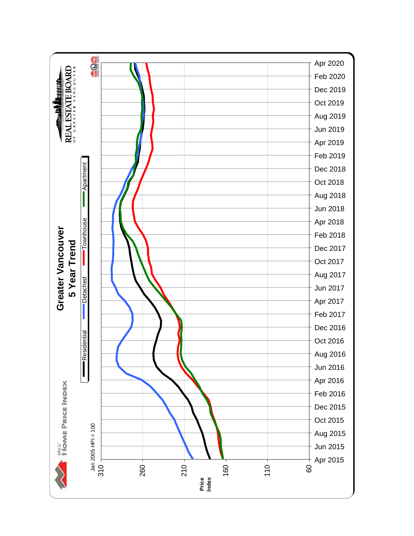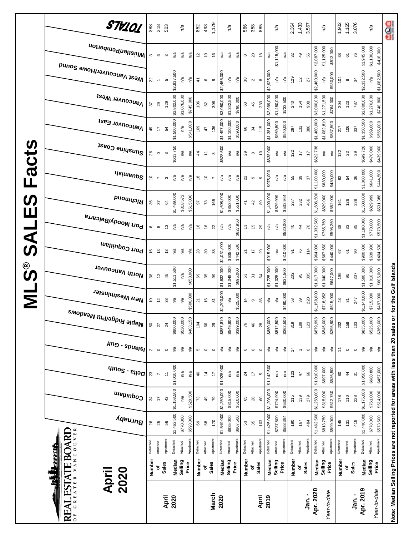|                         | STV101                              | 388                 | 218                      | 503                           | n/a                       |           | 852            | 493              | 1,179                    |                           | n/a               |           | 586             | 358                                  | 885                            |             | n/a         |           | 2,364              | 1,433             | 3,557           |             | n/a                            | 1,902         | 1,165          | 3,076          |             | n/a                     | 908                                                                               |
|-------------------------|-------------------------------------|---------------------|--------------------------|-------------------------------|---------------------------|-----------|----------------|------------------|--------------------------|---------------------------|-------------------|-----------|-----------------|--------------------------------------|--------------------------------|-------------|-------------|-----------|--------------------|-------------------|-----------------|-------------|--------------------------------|---------------|----------------|----------------|-------------|-------------------------|-----------------------------------------------------------------------------------|
|                         | i <sup>Whistler/Pemberton</sup>     | S                   | $\pmb{\circ}$            | n/a<br>$\boldsymbol{\infty}$  | n/a                       | n/a       | 5              | $\tilde{c}$      | $\frac{6}{2}$            | n/a                       | n/a               | n/a       | $^{\circ}$      | $\overline{c}$                       | $\overset{\circ}{\phantom{a}}$ | n/a         | \$1,115,000 | n/a       | 32                 | $\overline{49}$   | 55              | \$2,087,000 | \$1,125,000<br>\$513,000       | 38            | $\overline{6}$ | 76             | \$1,945,000 | \$1,130,000             | \$418,000                                                                         |
|                         | Mest Vancouver/Howe Sound           | 22                  | $\overline{\phantom{a}}$ | \$2,937,500<br>LO.            | n/a                       | n/a       | 41             | $\mathbf \omega$ | $\circ$                  | \$2,465,000               | n/a               | n/a       | $38\,$          | $\sim$                               | $\infty$                       | \$2,925,000 | n/a         | n/a       | 129                | $\tilde{c}$       | 27              | \$2,460,000 | \$930,000<br>ρý                | 104           | ၜ              | $\frac{5}{4}$  | \$2,332,500 | n/a                     | \$1,082,500                                                                       |
|                         | <b>Vancouver West</b>               | 22                  | 29                       | \$2,802,000<br>129            | \$1,076,000               | \$745,000 | 106            | 52               | 308                      | \$3,050,000               | \$1,232,500       | \$790,000 | $\mathbb{S}^3$  | 45                                   | 233                            | \$2,999,000 | \$1,450,000 | \$733,500 | 240                | 154               | 908             | \$3,000,000 | \$1,271,500<br>\$764,000       | 204           | 123            | 787            | \$2,800,000 | \$1,270,000             | \$748,800                                                                         |
|                         | Vancouver East                      | $\overline{49}$     | 17                       | \$1,500,000<br>54             | n/a                       | \$541,000 | 109            | 47               | 136                      | \$1,497,000               | \$1,100,000       | \$590,000 | 66              | 34                                   | 115                            | \$1,381,000 | \$969,500   | \$540,000 | 297                | 132               | 386             | \$1,480,000 | \$1,082,810<br>\$587,500       | 217           | 106            | 337            | \$1,350,500 | \$969,000               | \$555,000                                                                         |
| <b>S</b>                | Sunshine Coast                      | 26                  | $\circ$                  | \$613,750<br>S                | n/a                       | n′a       | $\frac{4}{4}$  | Ξ                | $\boldsymbol{\varsigma}$ | \$628,500                 | ηá                | ηá        | 29              | $\infty$                             | $\tilde{c}$                    | \$638,000   | n/a         | n/a       | 122                | 17                | 17              | \$622,738   | n/a<br>ηã                      | 122           | 22             | 29             | \$599,726   | \$470,000               | \$439,900                                                                         |
| Fact                    | <b>Usimenp<sup>S</sup></b>          | $\tilde{c}$         | $\overline{\phantom{a}}$ | $\boldsymbol{\infty}$         | n/a<br>్డి                | n/a       | $\frac{8}{1}$  | $\tilde{a}$      | $\overline{ }$           | n/a                       | n/a               | n/a       | $22\,$          | ၜ                                    | თ                              | \$975,000   | n/a         | n/a       | 55                 | 39                | $\frac{2}{3}$   | \$1,100,000 | \$680,000<br>\$480,000         | 62            | 54             | 36             | \$1,000,000 | \$641,000               | \$444,500                                                                         |
| <b>S</b><br>Ш           | Richmond                            | 36                  | 57                       | \$1,489,000<br>84             | \$818,572                 | \$515,000 | 5              | 73               | 165                      | \$1,608,000               | \$853,000         | \$551,000 | $\frac{4}{3}$   | 42                                   | 89                             | \$1,490,000 | \$829,999   | \$533,944 | 237                | 232               | 466             | \$1,606,500 | \$829,000<br>\$552,000         | 161           | 126            | 338            | \$1,500,000 | \$829,999               | \$531,388                                                                         |
| $\overline{\textbf{C}}$ | Port Moody/Belcarra                 | 6                   | $\infty$                 | 13                            | n/a<br>n/a                | n/a       | 9              | $\frac{6}{5}$    | 22                       | n/a                       | n/a               | \$627,950 | $\frac{3}{2}$   | $\frac{15}{2}$                       | 29                             | n/a         | n/a         | \$520,000 | $\overline{a}$     | $\frac{4}{3}$     | $\overline{70}$ | \$1,332,500 | \$765,750<br>\$598,250         | $38$          | $33\,$         | 85             | \$1,180,000 | \$770,000               | \$578,500                                                                         |
| <b>Si</b>               | Port Coquitlam                      | $\frac{6}{5}$       | $\frac{3}{2}$            | చ                             | n/a<br>n/a                | n/a       | 28             | $30$             | $38\,$                   | \$1,031,000               | \$635,000         | \$442,500 | $\overline{z}$  | $\ddot{ }$                           | 29                             | \$915,000   | n/a         | \$410,000 | $\overline{\circ}$ | 76                | 114             | \$964,000   | \$667,650<br>\$440,000         | 67            | 67             | 8              | \$900,000   | \$639,900               | \$404,500                                                                         |
| ©<br>ဟ                  | North Vancouver                     | 38                  | $\tilde{c}$              | \$1,511,500<br>45             | n/a                       | \$650,000 | 69             | 35               | 99                       | \$1,632,000               | \$1,049,000       | \$695,000 | 53              | $\overline{\widetilde{\mathcal{C}}}$ | 64                             | \$1,725,000 | \$1,025,000 | \$631,500 | 202                | 95                | 305             | \$1,617,000 | \$1,040,000<br>\$647,000       | 195           | 95             | 237            | \$1,590,000 | \$1,010,000             | for the Gulf Islands<br>\$605,000                                                 |
| Σ                       | New Westminster                     | $\tilde{c}$         | $\tilde{c}$              | 38                            | n/a<br>Ρå                 | \$500,000 | 21             | $\frac{6}{2}$    | 5                        | \$1,200,000               | n/a               | \$525,000 | $\frac{4}{4}$   | $\, \circ \,$                        | 85                             | n/a         | ്ദ          | \$490,000 | 58                 | 39                | 220             | \$1,159,000 | \$718,952<br>\$515,000         | $\frac{8}{3}$ | 75             | 247            | \$1,140,000 | \$715,000               | \$497,000                                                                         |
|                         | <sup>Maple Ridge/Pitt Meadows</sup> | 50                  | 27                       | \$900,000<br>24               | \$530,000                 | \$403,150 | 104            | 66               | $29$                     | \$887,810                 | \$549,900         | \$399,000 | 76              | $46$                                 | 28                             | \$880,000   | \$512,500   | \$362,500 | 319                | 189               | 123             | \$879,998   | \$395,900<br>\$545,000         | 232           | 159            | 103            | \$835,000   | \$525,000               | \$369,000                                                                         |
|                         | $\mu$ ng - spuelsl                  | $\boldsymbol{\sim}$ | $\circ$                  | n/a<br>$\circ$                | $\mathbb{R}^{\mathsf{d}}$ | n/a       | ю              | $\circ$          | $\circ$                  | $\mathbb{R}^{\mathsf{d}}$ | n/a               | ηá        | $\circ$         | $\circ$                              | $\circ$                        | n/a         | n/a         | n/a       | $\ddot{4}$         | $\sim$            | $\circ$         | n/a         | $\mathsf{n}^\mathsf{d}$<br>n/a | 1             | $\circ$        | $\circ$        | Ρá          | $\mathsf{n}^\mathsf{d}$ | $\mathsf{r}^\mathsf{a}$                                                           |
|                         | $q_{100}$ s - $e_{1100}$            | 23                  | $\overline{ }$           | \$1,010,000<br>H              | n/a                       | n/a       | $\overline{a}$ | $\frac{4}{3}$    | $\overline{\phantom{a}}$ | \$1,025,000               | n/a               | n/a       | $\overline{24}$ | $\overline{\phantom{a}}$             | Б                              | \$1,142,500 | n/a         | n/a       | 123                | 47                | 66              | \$1,010,000 | \$697,000<br>\$536,500         | 80            | $\frac{4}{4}$  | $\overline{5}$ | \$1,050,000 | \$688,800               | \$457,000                                                                         |
|                         | Coquitlam                           | æ                   | 17                       | \$1,158,500<br>$\overline{4}$ | n/a                       | \$520,500 | r.             | $\mathfrak{g}$   | ΓØ                       | \$1,250,000               | \$815,000         | \$510,000 | 89              | $\approx$                            | $\pmb{\mathbb{S}}$             | \$1,208,000 | \$724,900   | \$530,000 | 215                | 139               | 279             | \$1,250,000 | \$815,000<br>\$512,750         | 178           | 110            | 228            | \$1,175,000 | \$761,000               | \$514,000                                                                         |
|                         | Burnaby                             | 26                  | 25                       | \$1,462,500<br>99             | \$770,000                 | \$593,000 | 69             | $58\,$           | 170                      | \$1,549,000               | \$835,000         | \$607,500 | $53\,$          | 35                                   | 103                            | \$1,425,000 | \$787,500   | \$588,394 | 190                | 167               | 484             | \$1,462,500 | \$813,750<br>\$599,000         | 145           | 131            | 418            | \$1,440,000 | \$778,000               | \$573,500                                                                         |
|                         | VANCOUVER<br><b>ESTATE BOARD</b>    | Detached            | Attached                 | Apartment<br>Detached         | Attached                  | Apartment | Detached       | Attached         | Apartment                | Detached                  | Attached          | Apartment | Detached        | Attached                             | Apartment                      | Detached    | Attached    | Apartment | Detached           | Attached          | Apartment       | Detached    | Apartment<br>Attached          | Detached      | Attached       | Apartment      | Detached    | Attached                | Apartment                                                                         |
|                         | <u>Filipad</u><br>2020<br>April     | Number              | <b>Sales</b><br>٥        |                               | Median<br>Selling         | Price     | Number         | ٥                | Sales                    |                           | Median<br>Selling | Price     | Number          | ٥                                    | <b>Sales</b>                   | Median      | Selling     | Price     | Number             | <b>Sales</b><br>ō |                 | Median      | Selling<br>Price               |               | Number<br>ō    | Sales          | Median      | Selling<br>Price        |                                                                                   |
|                         | GREATER<br>REAL<br>$\overline{0}$   |                     |                          | April<br>2020                 |                           |           |                |                  | March                    | 2020                      |                   |           |                 |                                      | April                          | 2019        |             |           |                    |                   | Jan. -          | Apr. 2020   | Year-to-date                   |               |                | Jan. -         | Apr. 2019   | Year-to-date            | Note: Median Selling Prices are not reported for areas with less than 20 sales or |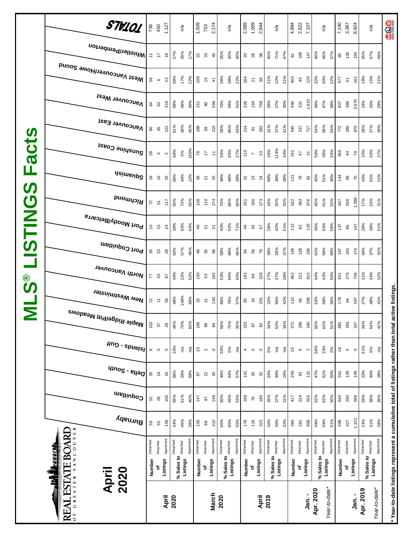|                                   | VANCOUVER<br><b>REAL ESTATE BOARD</b><br><b>TAX</b><br>2020<br>April<br>GREATER | Detached<br>Number                       | Attached<br>đ                     | Apartment<br>Listings | Detached<br>% Sales to | Attached<br>Listings | Apartment | Detached<br>Number | Attached<br>đ             | Apartment<br>Listings  | Detached<br>% Sales to | Attached<br>Listings | Apartment | Detached<br>Number | Attached<br>৳            | Apartmen <sup>-</sup><br>Listings | Detached<br>% Sales to | Attached<br>Listings | Apartment | Detached<br>Number      | Attached<br>Listings<br>٥ | Apartment                | Detached<br>% Sales to<br>Apr. 2020 | Apartment<br>Attached<br>Listings<br>Year-to-date* | Detached      | Attached<br>Number<br>٥f | Apartment<br>Listings | Detached<br>Apr. 2019 | % Sales to <b>Attached</b><br>Listings<br>Year-to-date* | Apartment             | * Year-to-date listings represent a cumulative total of listings rather than total active listings |
|-----------------------------------|---------------------------------------------------------------------------------|------------------------------------------|-----------------------------------|-----------------------|------------------------|----------------------|-----------|--------------------|---------------------------|------------------------|------------------------|----------------------|-----------|--------------------|--------------------------|-----------------------------------|------------------------|----------------------|-----------|-------------------------|---------------------------|--------------------------|-------------------------------------|----------------------------------------------------|---------------|--------------------------|-----------------------|-----------------------|---------------------------------------------------------|-----------------------|----------------------------------------------------------------------------------------------------|
|                                   | Burnaby                                                                         | 59                                       | 55                                | 156                   | 44%                    | 45%                  | 36%       | 105                | $^{\rm 8}$                | 310                    | 66%                    | 85%                  | 55%       | 178                | 116                      | 323                               | 30%                    | 30%                  | 32%       | 384                     | 281                       | 956                      | 49%                                 | 59%<br>51%                                         | 598           | 427                      | 1,102                 | 24%                   | 31%                                                     | 38%                   |                                                                                                    |
|                                   | Coquitlam                                                                       | 52                                       | $28$                              | 106                   | 65%                    | 61%                  | 40%       | 147                | $\boldsymbol{\mathsf{s}}$ | 148                    | 50%                    | 56%                  | 53%       | 188                | 76                       | 195                               | 35%                    | 37%                  | 31%       | 417                     | 224                       | 555                      | 52%                                 | 62%<br>50%                                         | 640           | 290                      | 596                   | 28%                   | 38%                                                     | 38%                   |                                                                                                    |
|                                   | $\frac{1}{2}$                                                                   | 35                                       | 24                                | $\frac{6}{5}$         | 66%                    | 29%                  | 69%       | $\sqrt{8}$         | $\overline{2}$            | $\rm ^{30}$            | 46%                    | 64%                  | 57%       | 101                | $35\,$                   | 32                                | 24%                    | 49%                  | 16%       | 259                     | 93                        | 131                      | 47%                                 | 51%<br>50%                                         | 341           | 109                      | 109                   | 23%                   | 40%                                                     | 28%                   |                                                                                                    |
|                                   | $\mu$ ng - spuelsl                                                              | $\mathbf  \circ$                         | $\circ$                           | $\circ$               | 33%                    | n⁄a                  | ρŞ        | $\overline{0}$     | $\sim$                    | $\circ$                | 50%                    | 0%                   | n′a       | 4                  | $\circ$                  | $\circ$                           | $0\%$                  | ηÝα                  | n/a       | 25                      | $\mathbf{\circ}$          | $\sim$                   | 56%                                 | 33%<br>0%                                          | $\frac{8}{3}$ | $\mathfrak{c}$           | $\circ$               | 61%                   | 0%                                                      | $\tilde{\mathcal{L}}$ |                                                                                                    |
| Σ                                 | <sup>Maple Ridge/Pitt Meadows</sup>                                             | 103                                      | 57                                | 29                    | 49%                    | 73%                  | 83%       | 185                | $_{88}$                   | $84$                   | 56%                    | 75%                  | 35%       | 223                | $\sqrt{8}$               | $82$                              | 34%                    | 53%                  | 34%       | 572                     | 299                       | 240                      | 56%                                 | 63%<br>51%                                         | 682           | 293                      | 247                   | 34%                   | 54%                                                     | 42%                   |                                                                                                    |
| <b>©</b><br>ဟ                     | New Westminster                                                                 |                                          | $\overline{z}$ = $\overline{z}$ 8 |                       | 48%                    | 109%                 | 68%       | $32$ $21$          |                           | 143                    | 66%                    | 76%                  | 57%       | 65                 | $\frac{6}{5}$            | $\overline{5}$                    | 22%                    | 56%                  | 42%       | 110                     | 66                        | 395                      | 53%                                 | 59%<br>56%                                         | 178           | $\mathfrak{g}$           | 597                   | 27%                   | 48%                                                     | 41%                   |                                                                                                    |
|                                   | North Vancouver                                                                 | $\overline{7}$                           | 55                                | 28                    | 49%                    | 22%                  | 52%       | 130                | 53                        | 165                    | 53%                    | 66%                  | 60%       | 193                | $\overline{a}$           | 228                               | 27%                    | 37%                  | 28%       | 462                     | 222                       | 615                      | 44%                                 | 43%<br>50%                                         | 631           | 279                      | 736                   | 31%                   | 34%                                                     | 32%                   |                                                                                                    |
|                                   | Port Coquitlam                                                                  | 26                                       | 23                                | $28$                  | 62%                    | 57%                  | 46%       | $48$               | 35                        | $58\,$                 | 58%                    | 86%                  | 66%       | 54                 | 59                       | 79                                | 39%                    | 29%                  | 37%       | 149                     | 129                       | 190                      | 61%                                 | 59%<br>60%                                         | 107           | 163                      | 274                   | 34%                   | 37%                                                     | 33%                   |                                                                                                    |
| <b>NHST</b>                       | Port Moody/Belcarra                                                             | $\frac{6}{5}$                            | $\frac{1}{2}$                     | 24                    | 38%                    | 53%                  | 54%       | $rac{40}{5}$       |                           | $\overline{5}$         | 40%                    | 52%                  | 71%       | 46                 | 36                       | 57                                | 28%                    | 42%                  | 51%       | 112                     | 82                        | 125                      | 36%                                 | 54%<br>56%                                         | 137           | 86                       | 167                   | 28%                   | 38%                                                     | 51%                   |                                                                                                    |
| <b>S</b><br>$\boldsymbol{\sigma}$ | Richmond                                                                        | $\overline{z}$                           | $\overline{5}$                    | $\frac{17}{2}$        | 50%                    | 73%                  | 55%       | 138                | 110                       | 274                    | 70%                    | 66%                  | 60%       | 251                | 166                      | 273                               | 16%                    | 25%                  | 33%       | 522                     | 383                       | 876                      | 45%                                 | 61%<br>53%                                         | 937           | 556                      | 1,090                 | 17%                   | 23%                                                     | 31%                   |                                                                                                    |
| ட                                 | <b>Usimenp<sup>2</sup></b>                                                      | $\frac{8}{2}$                            | $\frac{6}{5}$                     | 25                    | 56%                    | 44%                  | 12%       | $39^{0}$           |                           | 25                     | 46%                    | 48%                  | 28%       | 32                 |                          | $\frac{24}{3}$                    | 69%                    | 39%                  | 38%       | 121                     | 76                        | $\Omega$                 | 45%                                 | 51%<br>40%                                         | 144           | $_{\rm 89}$              | $\overline{r}$        | 43%                   | 61%                                                     | 51%                   |                                                                                                    |
| act                               | Sunshine Coast                                                                  |                                          | $\frac{8}{2}$ 4 $\alpha$          |                       | 68%                    | 0%                   | 150%      | 78                 |                           | $\overleftarrow{\tau}$ | 56%                    | 65%                  | 27%       | 110                | $\overline{\phantom{a}}$ | 23                                | 26%                    | 114%                 | 43%       | 242                     | $\ddot{4}$                | $\overline{\mathcal{E}}$ | 50%                                 | 36%<br>55%                                         | 366           | $\frac{4}{4}$            | 79                    | 33%                   | 50%                                                     | 37%                   |                                                                                                    |
| $\boldsymbol{\omega}$             | Vancouver East                                                                  | $_{\rm 80}$                              | 45                                | 121                   | 61%                    | 38%                  | 45%       | 188                | 59                        | $215$                  | 58%                    | 80%                  | 63%       | 214                | $\overline{\mathsf{o}}$  | 282                               | 31%                    | 37%                  | 41%       | 545                     | 237                       | 717                      | 54%                                 | 56%<br>54%                                         | 772           | 285                      | 870                   | 28%                   | 37%                                                     | 39%                   |                                                                                                    |
|                                   | <b>Vancouver West</b>                                                           | 64                                       | 63                                | 319                   | 58%                    | 46%                  | 40%       | 151                | 8                         | 599                    | 70%                    | 58%                  | 51%       | 226                | 164                      | 769                               | 28%                    | 27%                  | 30%       | 490                     | 331                       | 1,910                    | 49%                                 | 47%<br>48%                                         | 837           | 486                      | 2,670                 | 24%                   | 25%                                                     | 29%                   |                                                                                                    |
|                                   | Mest Vancouver/Howe Sound                                                       | 58                                       | $\circ$                           | 23                    | 38%                    | 17%                  | 22%       | 109                | $\frac{6}{2}$             | $\frac{4}{7}$          | 38%                    | 38%                  | 22%       | 184                | $\overline{\mathbf{z}}$  | 38                                | 21%                    | 10%                  | 21%       | 403                     | $\overline{4}$            | 125                      | 32%                                 | 30%<br>22%                                         | 577           | $\mathbf{\tilde{6}}$     | 162                   | 18%                   | 15%                                                     | 21%                   |                                                                                                    |
|                                   | Whistler/Pemberton                                                              | $\mathrel{\mathop{\mathsf{E}}\nolimits}$ | $\overline{z}$                    | $\overset{\circ}{=}$  | 27%                    | 35%                  | 17%       | 22                 |                           | $\overline{40}$        | 55%                    | 30%                  | 40%       | $20\,$             | 28                       | $38\,$                            | 40%                    | 71%                  | 47%       | $\overline{\mathtt{s}}$ | 106                       | 147                      | 40%                                 | 46%<br>37%                                         | 85            | 130                      | 155                   | 45%                   | 47%                                                     | 49%                   |                                                                                                    |
|                                   | STV101                                                                          |                                          | 736<br>450                        | 1,127                 |                        | n/a                  |           | 1,509              | 753                       | 2,174                  |                        | n/a                  |           |                    | 2,089<br>1,009           | 2,644                             |                        | n/a                  |           |                         | 4,894<br>2,622<br>7,107   |                          |                                     | n/a                                                | 7,140         | 3,367                    | 8,924                 |                       | $n^{\prime\alpha}$                                      |                       | <b>aga</b>                                                                                         |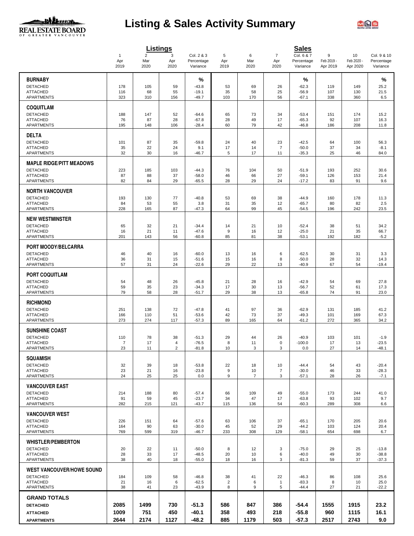

# **Listing & Sales Activity Summary**



|                                                    |                       |                       | Listings                |                          |                     |                      |                       | <b>Sales</b>             |                 |                  |                           |
|----------------------------------------------------|-----------------------|-----------------------|-------------------------|--------------------------|---------------------|----------------------|-----------------------|--------------------------|-----------------|------------------|---------------------------|
|                                                    | $\mathbf{1}$<br>Apr   | $\overline{2}$<br>Mar | 3<br>Apr                | Col. 2 & 3<br>Percentage | 5<br>Apr            | 6<br>Mar             | $\overline{7}$<br>Apr | Col. 6 & 7<br>Percentage | 9<br>Feb 2019 - | 10<br>Feb 2020 - | Col. 9 & 10<br>Percentage |
|                                                    | 2019                  | 2020                  | 2020                    | Variance                 | 2019                | 2020                 | 2020                  | Variance                 | Apr 2019        | Apr 2020         | Variance                  |
| <b>BURNABY</b>                                     |                       |                       |                         | %                        |                     |                      |                       | %                        |                 |                  | %                         |
| <b>DETACHED</b>                                    | 178                   | 105                   | 59                      | $-43.8$                  | 53                  | 69                   | 26                    | $-62.3$                  | 119             | 149              | 25.2                      |
| <b>ATTACHED</b><br>APARTMENTS                      | 116<br>323            | 68<br>310             | 55<br>156               | $-19.1$<br>$-49.7$       | 35<br>103           | 58<br>170            | 25<br>56              | $-56.9$<br>$-67.1$       | 107<br>338      | 130<br>360       | 21.5<br>6.5               |
| <b>COQUITLAM</b>                                   |                       |                       |                         |                          |                     |                      |                       |                          |                 |                  |                           |
| <b>DETACHED</b>                                    | 188                   | 147                   | 52                      | $-64.6$                  | 65                  | 73                   | 34                    | $-53.4$                  | 151             | 174              | 15.2                      |
| <b>ATTACHED</b>                                    | 76                    | 87                    | 28                      | $-67.8$                  | 28                  | 49                   | 17                    | $-65.3$                  | 92              | 107              | 16.3                      |
| <b>APARTMENTS</b>                                  | 195                   | 148                   | 106                     | $-28.4$                  | 60                  | 79                   | 42                    | $-46.8$                  | 186             | 208              | 11.8                      |
| <b>DELTA</b>                                       |                       |                       |                         |                          |                     |                      |                       |                          |                 |                  |                           |
| <b>DETACHED</b>                                    | 101                   | 87                    | 35                      | $-59.8$                  | 24                  | 40                   | 23                    | $-42.5$                  | 64              | 100              | 56.3                      |
| <b>ATTACHED</b><br><b>APARTMENTS</b>               | 35<br>32              | 22<br>30              | 24<br>16                | 9.1<br>$-46.7$           | 17<br>5             | 14<br>17             | $\overline{7}$<br>11  | $-50.0$<br>$-35.3$       | 37<br>25        | 34<br>46         | $-8.1$<br>84.0            |
|                                                    |                       |                       |                         |                          |                     |                      |                       |                          |                 |                  |                           |
| <b>MAPLE RIDGE/PITT MEADOWS</b><br><b>DETACHED</b> | 223                   | 185                   | 103                     | $-44.3$                  | 76                  | 104                  | 50                    | $-51.9$                  | 193             | 252              | 30.6                      |
| <b>ATTACHED</b>                                    | 87                    | 88                    | 37                      | $-58.0$                  | 46                  | 66                   | 27                    | $-59.1$                  | 126             | 153              | 21.4                      |
| <b>APARTMENTS</b>                                  | 82                    | 84                    | 29                      | $-65.5$                  | 28                  | 29                   | 24                    | $-17.2$                  | 83              | 91               | 9.6                       |
| <b>NORTH VANCOUVER</b>                             |                       |                       |                         |                          |                     |                      |                       |                          |                 |                  |                           |
| <b>DETACHED</b>                                    | 193                   | 130                   | 77                      | $-40.8$                  | 53                  | 69                   | 38                    | $-44.9$                  | 160             | 178              | 11.3                      |
| <b>ATTACHED</b><br><b>APARTMENTS</b>               | 84<br>228             | 53<br>165             | 55<br>87                | 3.8<br>$-47.3$           | 31<br>64            | 35<br>99             | 12<br>45              | $-65.7$<br>$-54.5$       | 80<br>196       | 82<br>242        | 2.5<br>23.5               |
|                                                    |                       |                       |                         |                          |                     |                      |                       |                          |                 |                  |                           |
| <b>NEW WESTMINSTER</b><br><b>DETACHED</b>          | 65                    | 32                    | 21                      | $-34.4$                  | 14                  | 21                   | 10                    | $-52.4$                  | 38              | 51               | 34.2                      |
| <b>ATTACHED</b>                                    | 16                    | 21                    | 11                      | $-47.6$                  | 9                   | 16                   | 12                    | $-25.0$                  | 21              | 35               | 66.7                      |
| <b>APARTMENTS</b>                                  | 201                   | 143                   | 56                      | $-60.8$                  | 85                  | 81                   | 38                    | $-53.1$                  | 192             | 182              | $-5.2$                    |
| PORT MOODY/BELCARRA                                |                       |                       |                         |                          |                     |                      |                       |                          |                 |                  |                           |
| <b>DETACHED</b>                                    | 46                    | 40                    | 16                      | $-60.0$                  | 13                  | 16                   | 6                     | $-62.5$                  | 30              | 31               | 3.3                       |
| <b>ATTACHED</b><br><b>APARTMENTS</b>               | 36<br>57              | 31<br>31              | 15<br>24                | $-51.6$<br>$-22.6$       | 15<br>29            | 16<br>22             | 8<br>13               | $-50.0$<br>$-40.9$       | 28<br>67        | 32<br>54         | 14.3<br>$-19.4$           |
|                                                    |                       |                       |                         |                          |                     |                      |                       |                          |                 |                  |                           |
| <b>PORT COQUITLAM</b>                              |                       |                       |                         |                          |                     |                      |                       |                          |                 |                  |                           |
| <b>DETACHED</b><br><b>ATTACHED</b>                 | 54<br>59              | 48<br>35              | 26<br>23                | $-45.8$<br>$-34.3$       | 21<br>17            | 28<br>30             | 16<br>13              | $-42.9$<br>$-56.7$       | 54<br>52        | 69<br>61         | 27.8<br>17.3              |
| APARTMENTS                                         | 79                    | 58                    | 28                      | $-51.7$                  | 29                  | 38                   | 13                    | $-65.8$                  | 74              | 91               | 23.0                      |
| <b>RICHMOND</b>                                    |                       |                       |                         |                          |                     |                      |                       |                          |                 |                  |                           |
| <b>DETACHED</b>                                    | 251                   | 138                   | 72                      | $-47.8$                  | 41                  | 97                   | 36                    | $-62.9$                  | 131             | 185              | 41.2                      |
| <b>ATTACHED</b><br><b>APARTMENTS</b>               | 166<br>273            | 110<br>274            | 51                      | $-53.6$                  | 42<br>89            | 73<br>165            | 37                    | $-49.3$<br>$-61.2$       | 101<br>272      | 169<br>365       | 67.3<br>34.2              |
|                                                    |                       |                       | 117                     | $-57.3$                  |                     |                      | 64                    |                          |                 |                  |                           |
| <b>SUNSHINE COAST</b>                              |                       |                       |                         |                          |                     |                      |                       |                          |                 |                  |                           |
| <b>DETACHED</b><br><b>ATTACHED</b>                 | 110<br>$\overline{7}$ | 78<br>17              | 38<br>4                 | $-51.3$<br>$-76.5$       | 29<br>8             | 44<br>11             | 26<br>0               | $-40.9$<br>$-100.0$      | 103<br>17       | 101<br>13        | $-1.9$<br>$-23.5$         |
| APARTMENTS                                         | 23                    | 11                    | $\overline{\mathbf{c}}$ | $-81.8$                  | 10                  | 3                    | 3                     | 0.0                      | 27              | 14               | $-48.1$                   |
| <b>SQUAMISH</b>                                    |                       |                       |                         |                          |                     |                      |                       |                          |                 |                  |                           |
| <b>DETACHED</b>                                    | 32                    | 39                    | 18                      | $-53.8$                  | 22                  | 18                   | 10                    | $-44.4$                  | 54              | 43               | $-20.4$                   |
| <b>ATTACHED</b><br>APARTMENTS                      | 23<br>24              | 21<br>25              | 16<br>25                | $-23.8$<br>0.0           | 9<br>9              | 10<br>$\overline{7}$ | 7<br>3                | $-30.0$<br>$-57.1$       | 46<br>28        | 33<br>26         | $-28.3$<br>$-7.1$         |
|                                                    |                       |                       |                         |                          |                     |                      |                       |                          |                 |                  |                           |
| <b>VANCOUVER EAST</b>                              |                       |                       |                         |                          |                     |                      |                       |                          |                 |                  |                           |
| <b>DETACHED</b><br><b>ATTACHED</b>                 | 214<br>91             | 188<br>59             | 80<br>45                | $-57.4$<br>$-23.7$       | 66<br>34            | 109<br>47            | 49<br>17              | $-55.0$<br>$-63.8$       | 173<br>93       | 244<br>102       | 41.0<br>9.7               |
| <b>APARTMENTS</b>                                  | 282                   | 215                   | 121                     | $-43.7$                  | 115                 | 136                  | 54                    | $-60.3$                  | 289             | 308              | 6.6                       |
| <b>VANCOUVER WEST</b>                              |                       |                       |                         |                          |                     |                      |                       |                          |                 |                  |                           |
| <b>DETACHED</b>                                    | 226                   | 151                   | 64                      | $-57.6$                  | 63                  | 106                  | 37                    | $-65.1$                  | 170             | 205              | 20.6                      |
| <b>ATTACHED</b><br>APARTMENTS                      | 164<br>769            | 90<br>599             | 63<br>319               | $-30.0$<br>$-46.7$       | 45<br>233           | 52<br>308            | 29<br>129             | $-44.2$<br>$-58.1$       | 103<br>654      | 124<br>698       | 20.4<br>6.7               |
|                                                    |                       |                       |                         |                          |                     |                      |                       |                          |                 |                  |                           |
| <b>WHISTLER/PEMBERTON</b>                          |                       |                       |                         |                          |                     |                      |                       |                          |                 |                  |                           |
| <b>DETACHED</b><br><b>ATTACHED</b>                 | 20<br>28              | 22<br>33              | 11<br>17                | $-50.0$<br>$-48.5$       | 8<br>20             | 12<br>10             | 3<br>6                | $-75.0$<br>$-40.0$       | 29<br>49        | 25<br>30         | $-13.8$<br>$-38.8$        |
| <b>APARTMENTS</b>                                  | 38                    | 40                    | 18                      | $-55.0$                  | 18                  | 16                   | 3                     | $-81.3$                  | 59              | 37               | $-37.3$                   |
| <b>WEST VANCOUVER/HOWE SOUND</b>                   |                       |                       |                         |                          |                     |                      |                       |                          |                 |                  |                           |
| <b>DETACHED</b>                                    | 184                   | 109                   | 58                      | $-46.8$                  | 38                  | 41                   | 22                    | $-46.3$                  | 86              | 108              | 25.6                      |
| <b>ATTACHED</b><br>APARTMENTS                      | 21<br>38              | 16<br>41              | 6<br>23                 | $-62.5$<br>$-43.9$       | $\overline{2}$<br>8 | 6<br>9               | 1<br>5                | $-83.3$<br>$-44.4$       | 8<br>27         | 10<br>21         | 25.0<br>$-22.2$           |
|                                                    |                       |                       |                         |                          |                     |                      |                       |                          |                 |                  |                           |
| <b>GRAND TOTALS</b>                                |                       |                       |                         |                          |                     |                      |                       |                          |                 |                  |                           |
| <b>DETACHED</b>                                    | 2085                  | 1499                  | 730                     | $-51.3$                  | 586                 | 847                  | 386                   | -54.4                    | 1555            | 1915             | 23.2                      |
| <b>ATTACHED</b>                                    | 1009<br>2644          | 751<br>2174           | 450<br>1127             | -40.1<br>-48.2           | 358<br>885          | 493<br>1179          | 218<br>503            | $-55.8$<br>$-57.3$       | 960<br>2517     | 1115<br>2743     | 16.1<br>9.0               |
| <b>APARTMENTS</b>                                  |                       |                       |                         |                          |                     |                      |                       |                          |                 |                  |                           |